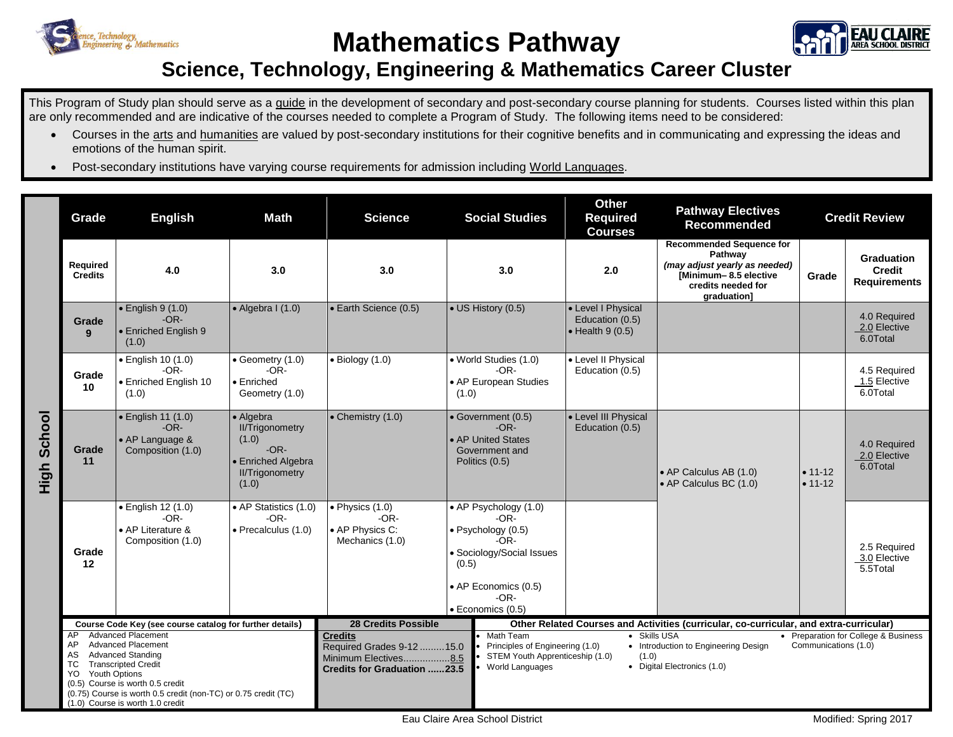

## **Mathematics Pathway**



## **Science, Technology, Engineering & Mathematics Career Cluster**

This Program of Study plan should serve as a guide in the development of secondary and post-secondary course planning for students. Courses listed within this plan are only recommended and are indicative of the courses needed to complete a Program of Study. The following items need to be considered:

- Courses in the arts and humanities are valued by post-secondary institutions for their cognitive benefits and in communicating and expressing the ideas and emotions of the human spirit.
- Post-secondary institutions have varying course requirements for admission including World Languages.

|                | Grade                                                                                                                                                                                                                                                                                                                                                                         | <b>English</b>                                                         | <b>Math</b>                                                                                                     | <b>Science</b>                                                                                                                                                                                                                                                                                                                                                                                                                                                                                           | <b>Social Studies</b>                                                                                                                                      | <b>Other</b><br><b>Required</b><br><b>Courses</b>                 | <b>Pathway Electives</b><br><b>Recommended</b>                                                                                            | <b>Credit Review</b>       |                                                    |
|----------------|-------------------------------------------------------------------------------------------------------------------------------------------------------------------------------------------------------------------------------------------------------------------------------------------------------------------------------------------------------------------------------|------------------------------------------------------------------------|-----------------------------------------------------------------------------------------------------------------|----------------------------------------------------------------------------------------------------------------------------------------------------------------------------------------------------------------------------------------------------------------------------------------------------------------------------------------------------------------------------------------------------------------------------------------------------------------------------------------------------------|------------------------------------------------------------------------------------------------------------------------------------------------------------|-------------------------------------------------------------------|-------------------------------------------------------------------------------------------------------------------------------------------|----------------------------|----------------------------------------------------|
|                | Required<br><b>Credits</b>                                                                                                                                                                                                                                                                                                                                                    | 4.0                                                                    | 3.0                                                                                                             | 3.0                                                                                                                                                                                                                                                                                                                                                                                                                                                                                                      | 3.0                                                                                                                                                        | 2.0                                                               | <b>Recommended Sequence for</b><br>Pathway<br>(may adjust yearly as needed)<br>[Minimum-8.5 elective<br>credits needed for<br>graduation] | Grade                      | Graduation<br><b>Credit</b><br><b>Requirements</b> |
|                | Grade<br>9                                                                                                                                                                                                                                                                                                                                                                    | $\bullet$ English 9 (1.0)<br>$-OR-$<br>• Enriched English 9<br>(1.0)   | $\bullet$ Algebra I (1.0)                                                                                       | • Earth Science (0.5)                                                                                                                                                                                                                                                                                                                                                                                                                                                                                    | • US History (0.5)                                                                                                                                         | • Level I Physical<br>Education (0.5)<br>$\bullet$ Health 9 (0.5) |                                                                                                                                           |                            | 4.0 Required<br>2.0 Elective<br>6.0Total           |
|                | Grade<br>10                                                                                                                                                                                                                                                                                                                                                                   | · English 10 (1.0)<br>$-OR-$<br>• Enriched English 10<br>(1.0)         | • Geometry $(1.0)$<br>$-OR-$<br>• Enriched<br>Geometry (1.0)                                                    | $\bullet$ Biology (1.0)                                                                                                                                                                                                                                                                                                                                                                                                                                                                                  | • World Studies (1.0)<br>$-OR-$<br>• AP European Studies<br>(1.0)                                                                                          | • Level II Physical<br>Education (0.5)                            |                                                                                                                                           |                            | 4.5 Required<br>1.5 Elective<br>6.0Total           |
| School<br>High | Grade<br>11                                                                                                                                                                                                                                                                                                                                                                   | • English 11 (1.0)<br>$-OR-$<br>• AP Language &<br>Composition (1.0)   | • Algebra<br><b>II/Trigonometry</b><br>(1.0)<br>$-OR-$<br>• Enriched Algebra<br><b>II/Trigonometry</b><br>(1.0) | • Chemistry (1.0)                                                                                                                                                                                                                                                                                                                                                                                                                                                                                        | · Government (0.5)<br>$-OR-$<br>• AP United States<br>Government and<br>Politics (0.5)                                                                     | • Level III Physical<br>Education (0.5)                           | • AP Calculus AB (1.0)<br>• AP Calculus BC (1.0)                                                                                          | $• 11 - 12$<br>$• 11 - 12$ | 4.0 Required<br>2.0 Elective<br>6.0Total           |
|                | Grade<br>12                                                                                                                                                                                                                                                                                                                                                                   | · English 12 (1.0)<br>$-OR-$<br>• AP Literature &<br>Composition (1.0) | • AP Statistics (1.0)<br>$-OR-$<br>· Precalculus (1.0)                                                          | $\bullet$ Physics (1.0)<br>$-OR-$<br>• AP Physics C:<br>Mechanics (1.0)                                                                                                                                                                                                                                                                                                                                                                                                                                  | • AP Psychology (1.0)<br>-OR-<br>· Psychology (0.5)<br>$-OR-$<br>· Sociology/Social Issues<br>(0.5)<br>• AP Economics (0.5)<br>$-OR-$<br>· Economics (0.5) |                                                                   |                                                                                                                                           |                            | 2.5 Required<br>3.0 Elective<br>5.5Total           |
|                | Course Code Key (see course catalog for further details)<br><b>Advanced Placement</b><br>AP<br><b>Advanced Placement</b><br>AP<br><b>Advanced Standing</b><br>AS<br><b>Transcripted Credit</b><br>TC.<br><b>Youth Options</b><br>YO<br>(0.5) Course is worth 0.5 credit<br>(0.75) Course is worth 0.5 credit (non-TC) or 0.75 credit (TC)<br>(1.0) Course is worth 1.0 credit |                                                                        |                                                                                                                 | <b>28 Credits Possible</b><br>Other Related Courses and Activities (curricular, co-curricular, and extra-curricular)<br><b>Credits</b><br>Math Team<br>• Skills USA<br>• Preparation for College & Business<br>Principles of Engineering (1.0)<br>• Introduction to Engineering Design<br>Communications (1.0)<br>Required Grades 9-12  15.0<br>STEM Youth Apprenticeship (1.0)<br>(1.0)<br>Minimum Electives8.5<br>• Digital Electronics (1.0)<br>World Languages<br><b>Credits for Graduation 23.5</b> |                                                                                                                                                            |                                                                   |                                                                                                                                           |                            |                                                    |